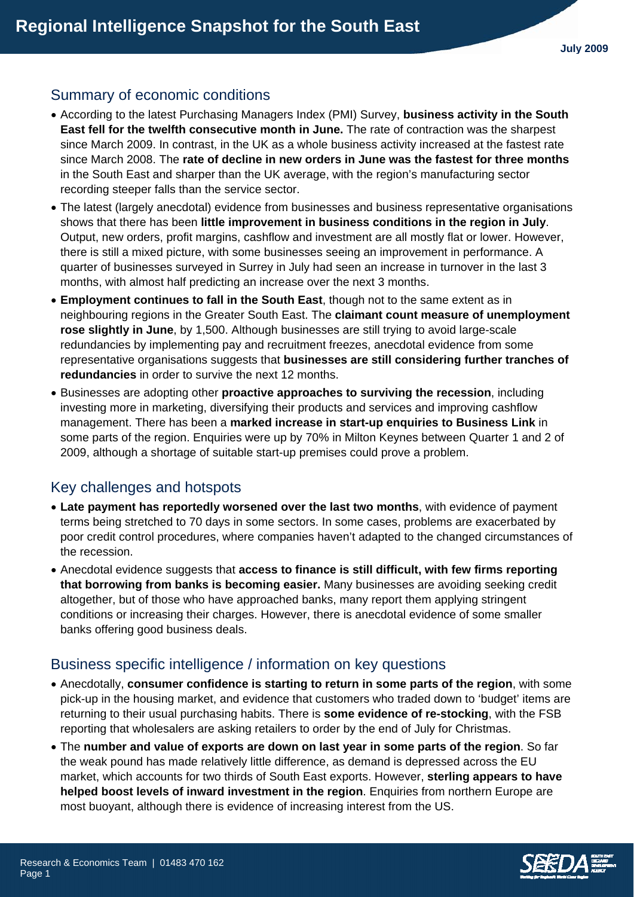## Summary of economic conditions

- According to the latest Purchasing Managers Index (PMI) Survey, **business activity in the South East fell for the twelfth consecutive month in June.** The rate of contraction was the sharpest since March 2009. In contrast, in the UK as a whole business activity increased at the fastest rate since March 2008. The **rate of decline in new orders in June was the fastest for three months** in the South East and sharper than the UK average, with the region's manufacturing sector recording steeper falls than the service sector.
- The latest (largely anecdotal) evidence from businesses and business representative organisations shows that there has been **little improvement in business conditions in the region in July**. Output, new orders, profit margins, cashflow and investment are all mostly flat or lower. However, there is still a mixed picture, with some businesses seeing an improvement in performance. A quarter of businesses surveyed in Surrey in July had seen an increase in turnover in the last 3 months, with almost half predicting an increase over the next 3 months.
- **Employment continues to fall in the South East**, though not to the same extent as in neighbouring regions in the Greater South East. The **claimant count measure of unemployment rose slightly in June**, by 1,500. Although businesses are still trying to avoid large-scale redundancies by implementing pay and recruitment freezes, anecdotal evidence from some representative organisations suggests that **businesses are still considering further tranches of redundancies** in order to survive the next 12 months.
- Businesses are adopting other **proactive approaches to surviving the recession**, including investing more in marketing, diversifying their products and services and improving cashflow management. There has been a **marked increase in start-up enquiries to Business Link** in some parts of the region. Enquiries were up by 70% in Milton Keynes between Quarter 1 and 2 of 2009, although a shortage of suitable start-up premises could prove a problem.

# Key challenges and hotspots

- **Late payment has reportedly worsened over the last two months**, with evidence of payment terms being stretched to 70 days in some sectors. In some cases, problems are exacerbated by poor credit control procedures, where companies haven't adapted to the changed circumstances of the recession.
- Anecdotal evidence suggests that **access to finance is still difficult, with few firms reporting that borrowing from banks is becoming easier.** Many businesses are avoiding seeking credit altogether, but of those who have approached banks, many report them applying stringent conditions or increasing their charges. However, there is anecdotal evidence of some smaller banks offering good business deals.

# Business specific intelligence / information on key questions

- Anecdotally, **consumer confidence is starting to return in some parts of the region**, with some pick-up in the housing market, and evidence that customers who traded down to 'budget' items are returning to their usual purchasing habits. There is **some evidence of re-stocking**, with the FSB reporting that wholesalers are asking retailers to order by the end of July for Christmas.
- The **number and value of exports are down on last year in some parts of the region**. So far the weak pound has made relatively little difference, as demand is depressed across the EU market, which accounts for two thirds of South East exports. However, **sterling appears to have helped boost levels of inward investment in the region**. Enquiries from northern Europe are most buoyant, although there is evidence of increasing interest from the US.

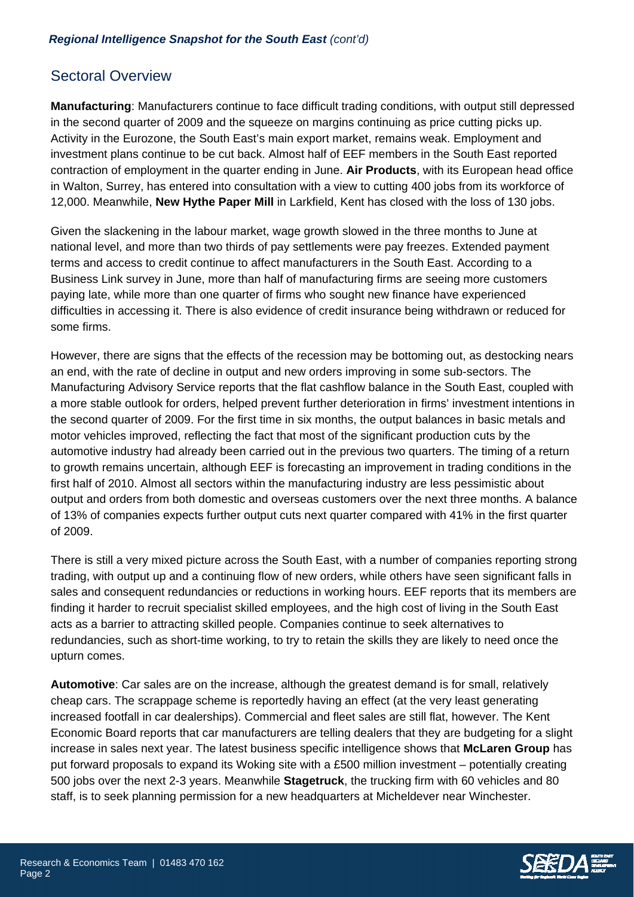#### *Regional Intelligence Snapshot for the South East (cont'd)*

## Sectoral Overview

**Manufacturing**: Manufacturers continue to face difficult trading conditions, with output still depressed in the second quarter of 2009 and the squeeze on margins continuing as price cutting picks up. Activity in the Eurozone, the South East's main export market, remains weak. Employment and investment plans continue to be cut back. Almost half of EEF members in the South East reported contraction of employment in the quarter ending in June. **Air Products**, with its European head office in Walton, Surrey, has entered into consultation with a view to cutting 400 jobs from its workforce of 12,000. Meanwhile, **New Hythe Paper Mill** in Larkfield, Kent has closed with the loss of 130 jobs.

Given the slackening in the labour market, wage growth slowed in the three months to June at national level, and more than two thirds of pay settlements were pay freezes. Extended payment terms and access to credit continue to affect manufacturers in the South East. According to a Business Link survey in June, more than half of manufacturing firms are seeing more customers paying late, while more than one quarter of firms who sought new finance have experienced difficulties in accessing it. There is also evidence of credit insurance being withdrawn or reduced for some firms.

However, there are signs that the effects of the recession may be bottoming out, as destocking nears an end, with the rate of decline in output and new orders improving in some sub-sectors. The Manufacturing Advisory Service reports that the flat cashflow balance in the South East, coupled with a more stable outlook for orders, helped prevent further deterioration in firms' investment intentions in the second quarter of 2009. For the first time in six months, the output balances in basic metals and motor vehicles improved, reflecting the fact that most of the significant production cuts by the automotive industry had already been carried out in the previous two quarters. The timing of a return to growth remains uncertain, although EEF is forecasting an improvement in trading conditions in the first half of 2010. Almost all sectors within the manufacturing industry are less pessimistic about output and orders from both domestic and overseas customers over the next three months. A balance of 13% of companies expects further output cuts next quarter compared with 41% in the first quarter of 2009.

There is still a very mixed picture across the South East, with a number of companies reporting strong trading, with output up and a continuing flow of new orders, while others have seen significant falls in sales and consequent redundancies or reductions in working hours. EEF reports that its members are finding it harder to recruit specialist skilled employees, and the high cost of living in the South East acts as a barrier to attracting skilled people. Companies continue to seek alternatives to redundancies, such as short-time working, to try to retain the skills they are likely to need once the upturn comes.

**Automotive**: Car sales are on the increase, although the greatest demand is for small, relatively cheap cars. The scrappage scheme is reportedly having an effect (at the very least generating increased footfall in car dealerships). Commercial and fleet sales are still flat, however. The Kent Economic Board reports that car manufacturers are telling dealers that they are budgeting for a slight increase in sales next year. The latest business specific intelligence shows that **McLaren Group** has put forward proposals to expand its Woking site with a £500 million investment – potentially creating 500 jobs over the next 2-3 years. Meanwhile **Stagetruck**, the trucking firm with 60 vehicles and 80 staff, is to seek planning permission for a new headquarters at Micheldever near Winchester.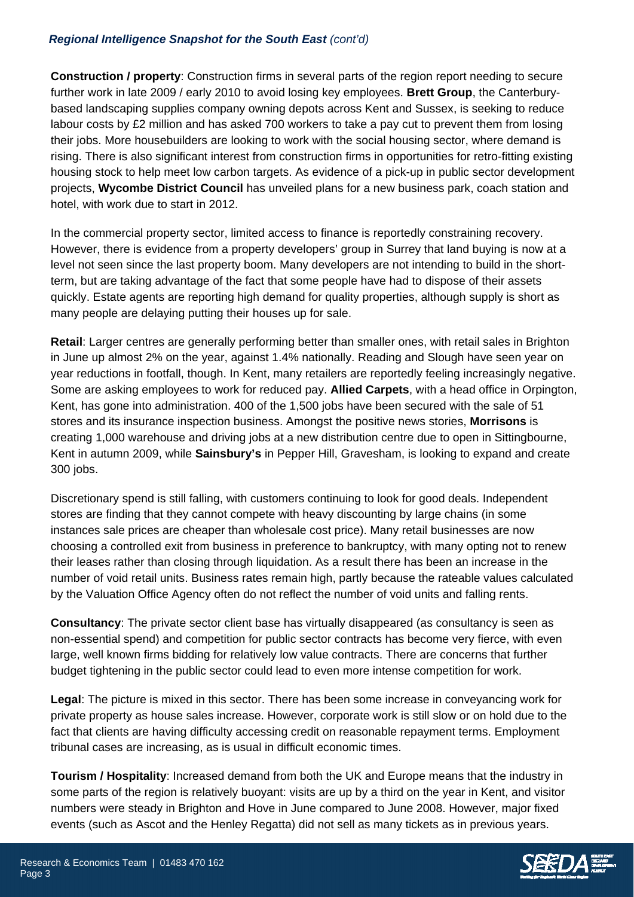### *Regional Intelligence Snapshot for the South East (cont'd)*

**Construction / property**: Construction firms in several parts of the region report needing to secure further work in late 2009 / early 2010 to avoid losing key employees. **Brett Group**, the Canterburybased landscaping supplies company owning depots across Kent and Sussex, is seeking to reduce labour costs by £2 million and has asked 700 workers to take a pay cut to prevent them from losing their jobs. More housebuilders are looking to work with the social housing sector, where demand is rising. There is also significant interest from construction firms in opportunities for retro-fitting existing housing stock to help meet low carbon targets. As evidence of a pick-up in public sector development projects, **Wycombe District Council** has unveiled plans for a new business park, coach station and hotel, with work due to start in 2012.

In the commercial property sector, limited access to finance is reportedly constraining recovery. However, there is evidence from a property developers' group in Surrey that land buying is now at a level not seen since the last property boom. Many developers are not intending to build in the shortterm, but are taking advantage of the fact that some people have had to dispose of their assets quickly. Estate agents are reporting high demand for quality properties, although supply is short as many people are delaying putting their houses up for sale.

**Retail**: Larger centres are generally performing better than smaller ones, with retail sales in Brighton in June up almost 2% on the year, against 1.4% nationally. Reading and Slough have seen year on year reductions in footfall, though. In Kent, many retailers are reportedly feeling increasingly negative. Some are asking employees to work for reduced pay. **Allied Carpets**, with a head office in Orpington, Kent, has gone into administration. 400 of the 1,500 jobs have been secured with the sale of 51 stores and its insurance inspection business. Amongst the positive news stories, **Morrisons** is creating 1,000 warehouse and driving jobs at a new distribution centre due to open in Sittingbourne, Kent in autumn 2009, while **Sainsbury's** in Pepper Hill, Gravesham, is looking to expand and create 300 jobs.

Discretionary spend is still falling, with customers continuing to look for good deals. Independent stores are finding that they cannot compete with heavy discounting by large chains (in some instances sale prices are cheaper than wholesale cost price). Many retail businesses are now choosing a controlled exit from business in preference to bankruptcy, with many opting not to renew their leases rather than closing through liquidation. As a result there has been an increase in the number of void retail units. Business rates remain high, partly because the rateable values calculated by the Valuation Office Agency often do not reflect the number of void units and falling rents.

**Consultancy**: The private sector client base has virtually disappeared (as consultancy is seen as non-essential spend) and competition for public sector contracts has become very fierce, with even large, well known firms bidding for relatively low value contracts. There are concerns that further budget tightening in the public sector could lead to even more intense competition for work.

**Legal**: The picture is mixed in this sector. There has been some increase in conveyancing work for private property as house sales increase. However, corporate work is still slow or on hold due to the fact that clients are having difficulty accessing credit on reasonable repayment terms. Employment tribunal cases are increasing, as is usual in difficult economic times.

**Tourism / Hospitality**: Increased demand from both the UK and Europe means that the industry in some parts of the region is relatively buoyant: visits are up by a third on the year in Kent, and visitor numbers were steady in Brighton and Hove in June compared to June 2008. However, major fixed events (such as Ascot and the Henley Regatta) did not sell as many tickets as in previous years.

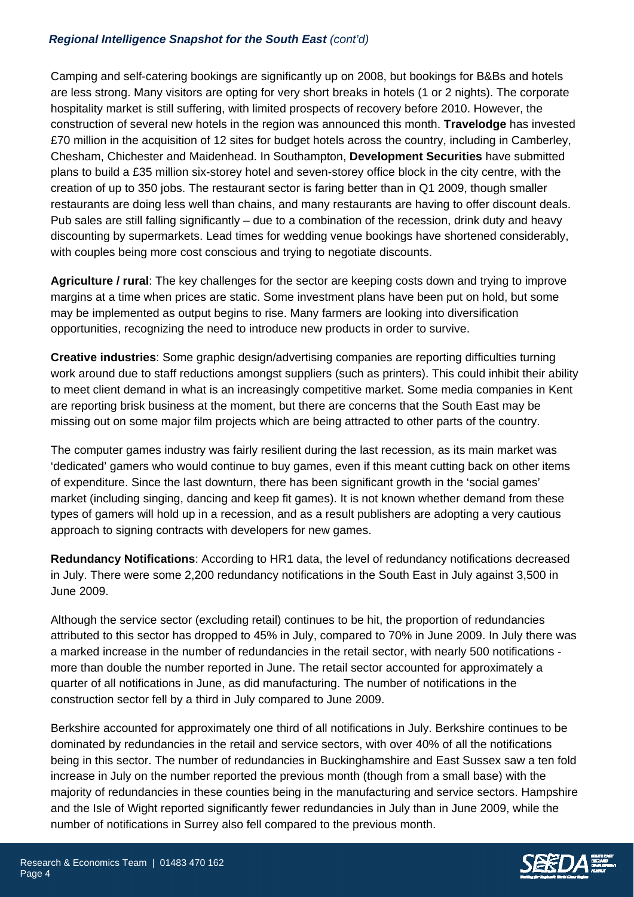### *Regional Intelligence Snapshot for the South East (cont'd)*

Camping and self-catering bookings are significantly up on 2008, but bookings for B&Bs and hotels are less strong. Many visitors are opting for very short breaks in hotels (1 or 2 nights). The corporate hospitality market is still suffering, with limited prospects of recovery before 2010. However, the construction of several new hotels in the region was announced this month. **Travelodge** has invested £70 million in the acquisition of 12 sites for budget hotels across the country, including in Camberley, Chesham, Chichester and Maidenhead. In Southampton, **Development Securities** have submitted plans to build a £35 million six-storey hotel and seven-storey office block in the city centre, with the creation of up to 350 jobs. The restaurant sector is faring better than in Q1 2009, though smaller restaurants are doing less well than chains, and many restaurants are having to offer discount deals. Pub sales are still falling significantly – due to a combination of the recession, drink duty and heavy discounting by supermarkets. Lead times for wedding venue bookings have shortened considerably, with couples being more cost conscious and trying to negotiate discounts.

**Agriculture / rural**: The key challenges for the sector are keeping costs down and trying to improve margins at a time when prices are static. Some investment plans have been put on hold, but some may be implemented as output begins to rise. Many farmers are looking into diversification opportunities, recognizing the need to introduce new products in order to survive.

**Creative industries**: Some graphic design/advertising companies are reporting difficulties turning work around due to staff reductions amongst suppliers (such as printers). This could inhibit their ability to meet client demand in what is an increasingly competitive market. Some media companies in Kent are reporting brisk business at the moment, but there are concerns that the South East may be missing out on some major film projects which are being attracted to other parts of the country.

The computer games industry was fairly resilient during the last recession, as its main market was 'dedicated' gamers who would continue to buy games, even if this meant cutting back on other items of expenditure. Since the last downturn, there has been significant growth in the 'social games' market (including singing, dancing and keep fit games). It is not known whether demand from these types of gamers will hold up in a recession, and as a result publishers are adopting a very cautious approach to signing contracts with developers for new games.

**Redundancy Notifications**: According to HR1 data, the level of redundancy notifications decreased in July. There were some 2,200 redundancy notifications in the South East in July against 3,500 in June 2009.

Although the service sector (excluding retail) continues to be hit, the proportion of redundancies attributed to this sector has dropped to 45% in July, compared to 70% in June 2009. In July there was a marked increase in the number of redundancies in the retail sector, with nearly 500 notifications more than double the number reported in June. The retail sector accounted for approximately a quarter of all notifications in June, as did manufacturing. The number of notifications in the construction sector fell by a third in July compared to June 2009.

Berkshire accounted for approximately one third of all notifications in July. Berkshire continues to be dominated by redundancies in the retail and service sectors, with over 40% of all the notifications being in this sector. The number of redundancies in Buckinghamshire and East Sussex saw a ten fold increase in July on the number reported the previous month (though from a small base) with the majority of redundancies in these counties being in the manufacturing and service sectors. Hampshire and the Isle of Wight reported significantly fewer redundancies in July than in June 2009, while the number of notifications in Surrey also fell compared to the previous month.